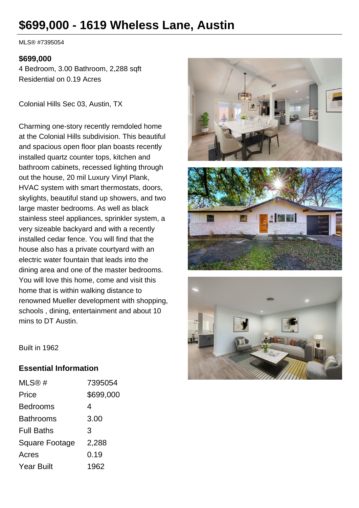# **\$699,000 - 1619 Wheless Lane, Austin**

MLS® #7395054

#### **\$699,000**

4 Bedroom, 3.00 Bathroom, 2,288 sqft Residential on 0.19 Acres

Colonial Hills Sec 03, Austin, TX

Charming one-story recently remdoled home at the Colonial Hills subdivision. This beautiful and spacious open floor plan boasts recently installed quartz counter tops, kitchen and bathroom cabinets, recessed lighting through out the house, 20 mil Luxury Vinyl Plank, HVAC system with smart thermostats, doors, skylights, beautiful stand up showers, and two large master bedrooms. As well as black stainless steel appliances, sprinkler system, a very sizeable backyard and with a recently installed cedar fence. You will find that the house also has a private courtyard with an electric water fountain that leads into the dining area and one of the master bedrooms. You will love this home, come and visit this home that is within walking distance to renowned Mueller development with shopping, schools , dining, entertainment and about 10 mins to DT Austin.







Built in 1962

### **Essential Information**

| MLS@#             | 7395054   |
|-------------------|-----------|
| Price             | \$699,000 |
| Bedrooms          | 4         |
| Bathrooms         | 3.00      |
| <b>Full Baths</b> | 3         |
| Square Footage    | 2,288     |
| Acres             | 0.19      |
| Year Built        | 1962      |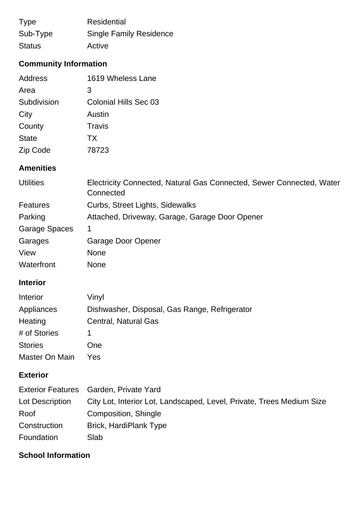| <b>Type</b>   | Residential                    |
|---------------|--------------------------------|
| Sub-Type      | <b>Single Family Residence</b> |
| <b>Status</b> | Active                         |

# **Community Information**

| Address      | 1619 Wheless Lane     |
|--------------|-----------------------|
| Area         | 3                     |
| Subdivision  | Colonial Hills Sec 03 |
| City         | Austin                |
| County       | Travis                |
| <b>State</b> | TX                    |
| Zip Code     | 78723                 |

### **Amenities**

| <b>Utilities</b> | Electricity Connected, Natural Gas Connected, Sewer Connected, Water<br>Connected |
|------------------|-----------------------------------------------------------------------------------|
| <b>Features</b>  | Curbs, Street Lights, Sidewalks                                                   |
| Parking          | Attached, Driveway, Garage, Garage Door Opener                                    |
| Garage Spaces    | 1                                                                                 |
| Garages          | Garage Door Opener                                                                |
| View             | None                                                                              |
| Waterfront       | <b>None</b>                                                                       |

### **Interior**

| Interior       | Vinyl                                         |
|----------------|-----------------------------------------------|
| Appliances     | Dishwasher, Disposal, Gas Range, Refrigerator |
| Heating        | Central, Natural Gas                          |
| # of Stories   | 1                                             |
| <b>Stories</b> | One                                           |
| Master On Main | Yes                                           |

# **Exterior**

|                 | Exterior Features Garden, Private Yard                                |
|-----------------|-----------------------------------------------------------------------|
| Lot Description | City Lot, Interior Lot, Landscaped, Level, Private, Trees Medium Size |
| Roof            | Composition, Shingle                                                  |
| Construction    | <b>Brick, HardiPlank Type</b>                                         |
| Foundation      | Slab                                                                  |

# **School Information**